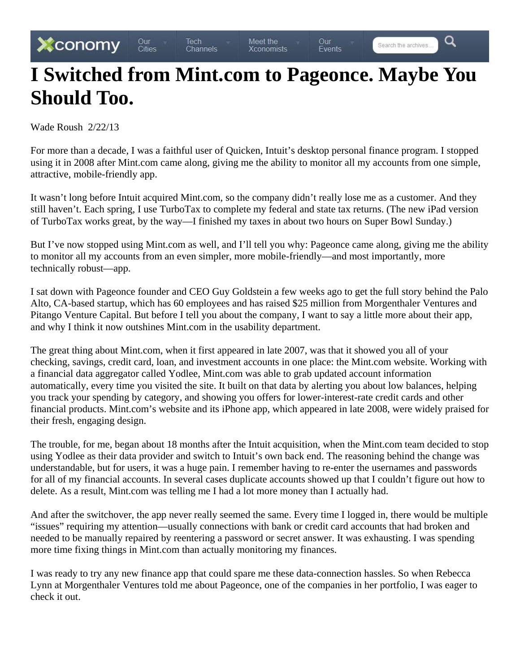Q

## **I Switched from Mint.com to Pageonce. Maybe You Should Too.**

Wade Roush 2/22/13

For more than a decade, I was a faithful user of Quicken, Intuit's desktop personal finance program. I stopped using it in 2008 after Mint.com came along, giving me the ability to monitor all my accounts from one simple, attractive, mobile-friendly app.

It wasn't long before Intuit acquired Mint.com, so the company didn't really lose me as a customer. And they still haven't. Each spring, I use TurboTax to complete my federal and state tax returns. (The new iPad version of TurboTax works great, by the way—I finished my taxes in about two hours on Super Bowl Sunday.)

But I've now stopped using Mint.com as well, and I'll tell you why: Pageonce came along, giving me the ability to monitor all my accounts from an even simpler, more mobile-friendly—and most importantly, more technically robust—app.

I sat down with Pageonce founder and CEO Guy Goldstein a few weeks ago to get the full story behind the Palo Alto, CA-based startup, which has 60 employees and has raised \$25 million from Morgenthaler Ventures and Pitango Venture Capital. But before I tell you about the company, I want to say a little more about their app, and why I think it now outshines Mint.com in the usability department.

The great thing about Mint.com, when it first appeared in late 2007, was that it showed you all of your checking, savings, credit card, loan, and investment accounts in one place: the Mint.com website. Working with a financial data aggregator called Yodlee, Mint.com was able to grab updated account information automatically, every time you visited the site. It built on that data by alerting you about low balances, helping you track your spending by category, and showing you offers for lower-interest-rate credit cards and other financial products. Mint.com's website and its iPhone app, which appeared in late 2008, were widely praised for their fresh, engaging design.

The trouble, for me, began about 18 months after the Intuit acquisition, when the Mint.com team decided to stop using Yodlee as their data provider and switch to Intuit's own back end. The reasoning behind the change was understandable, but for users, it was a huge pain. I remember having to re-enter the usernames and passwords for all of my financial accounts. In several cases duplicate accounts showed up that I couldn't figure out how to delete. As a result, Mint.com was telling me I had a lot more money than I actually had.

And after the switchover, the app never really seemed the same. Every time I logged in, there would be multiple "issues" requiring my attention—usually connections with bank or credit card accounts that had broken and needed to be manually repaired by reentering a password or secret answer. It was exhausting. I was spending more time fixing things in Mint.com than actually monitoring my finances.

I was ready to try any new finance app that could spare me these data-connection hassles. So when Rebecca Lynn at Morgenthaler Ventures told me about Pageonce, one of the companies in her portfolio, I was eager to check it out.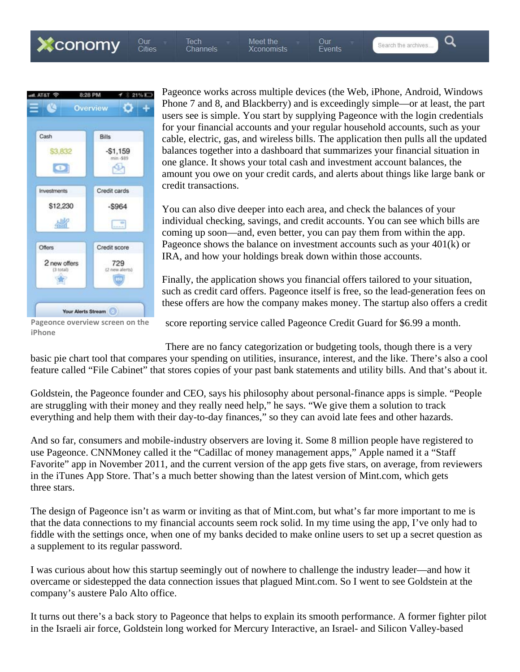Xconomy

Our<br>Cities Tech<br>Channels

Meet the **Xconomists**  Our<br>Events

Search the archives

Q



Pageonce works across multiple devices (the Web, iPhone, Android, Windows Phone 7 and 8, and Blackberry) and is exceedingly simple—or at least, the part users see is simple. You start by supplying Pageonce with the login credentials for your financial accounts and your regular household accounts, such as your cable, electric, gas, and wireless bills. The application then pulls all the updated balances together into a dashboard that summarizes your financial situation in one glance. It shows your total cash and investment account balances, the amount you owe on your credit cards, and alerts about things like large bank or credit transactions.

You can also dive deeper into each area, and check the balances of your individual checking, savings, and credit accounts. You can see which bills are coming up soon—and, even better, you can pay them from within the app. Pageonce shows the balance on investment accounts such as your 401(k) or IRA, and how your holdings break down within those accounts.

Finally, the application shows you financial offers tailored to your situation, such as credit card offers. Pageonce itself is free, so the lead-generation fees on these offers are how the company makes money. The startup also offers a credit

**Pageonce overview screen on the iPhone**

score reporting service called Pageonce Credit Guard for \$6.99 a month.

There are no fancy categorization or budgeting tools, though there is a very basic pie chart tool that compares your spending on utilities, insurance, interest, and the like. There's also a cool feature called "File Cabinet" that stores copies of your past bank statements and utility bills. And that's about it.

Goldstein, the Pageonce founder and CEO, says his philosophy about personal-finance apps is simple. "People are struggling with their money and they really need help," he says. "We give them a solution to track everything and help them with their day-to-day finances," so they can avoid late fees and other hazards.

And so far, consumers and mobile-industry observers are loving it. Some 8 million people have registered to use Pageonce. CNNMoney called it the "Cadillac of money management apps," Apple named it a "Staff Favorite" app in November 2011, and the current version of the app gets five stars, on average, from reviewers in the iTunes App Store. That's a much better showing than the latest version of Mint.com, which gets three stars.

The design of Pageonce isn't as warm or inviting as that of Mint.com, but what's far more important to me is that the data connections to my financial accounts seem rock solid. In my time using the app, I've only had to fiddle with the settings once, when one of my banks decided to make online users to set up a secret question as a supplement to its regular password.

I was curious about how this startup seemingly out of nowhere to challenge the industry leader—and how it overcame or sidestepped the data connection issues that plagued Mint.com. So I went to see Goldstein at the company's austere Palo Alto office.

It turns out there's a back story to Pageonce that helps to explain its smooth performance. A former fighter pilot in the Israeli air force, Goldstein long worked for Mercury Interactive, an Israel- and Silicon Valley-based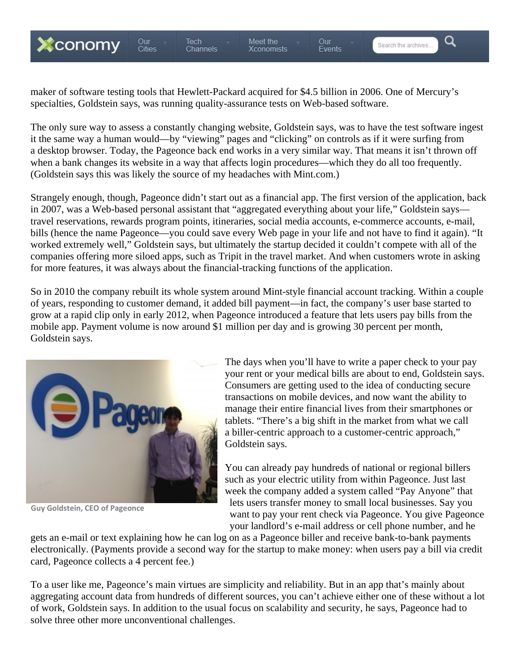

Tech<br>Channels

Our<br>Cities

maker of software testing tools that Hewlett-Packard acquired for \$4.5 billion in 2006. One of Mercury's specialties, Goldstein says, was running quality-assurance tests on Web-based software.

The only sure way to assess a constantly changing website, Goldstein says, was to have the test software ingest it the same way a human would—by "viewing" pages and "clicking" on controls as if it were surfing from a desktop browser. Today, the Pageonce back end works in a very similar way. That means it isn't thrown off when a bank changes its website in a way that affects login procedures—which they do all too frequently. (Goldstein says this was likely the source of my headaches with Mint.com.)

Strangely enough, though, Pageonce didn't start out as a financial app. The first version of the application, back in 2007, was a Web-based personal assistant that "aggregated everything about your life," Goldstein says travel reservations, rewards program points, itineraries, social media accounts, e-commerce accounts, e-mail, bills (hence the name Pageonce—you could save every Web page in your life and not have to find it again). "It worked extremely well," Goldstein says, but ultimately the startup decided it couldn't compete with all of the companies offering more siloed apps, such as Tripit in the travel market. And when customers wrote in asking for more features, it was always about the financial-tracking functions of the application.

So in 2010 the company rebuilt its whole system around Mint-style financial account tracking. Within a couple of years, responding to customer demand, it added bill payment—in fact, the company's user base started to grow at a rapid clip only in early 2012, when Pageonce introduced a feature that lets users pay bills from the mobile app. Payment volume is now around \$1 million per day and is growing 30 percent per month, Goldstein says.



**Guy Goldstein, CEO of Pageonce**

The days when you'll have to write a paper check to your pay your rent or your medical bills are about to end, Goldstein says. Consumers are getting used to the idea of conducting secure transactions on mobile devices, and now want the ability to manage their entire financial lives from their smartphones or tablets. "There's a big shift in the market from what we call a biller-centric approach to a customer-centric approach," Goldstein says.

You can already pay hundreds of national or regional billers such as your electric utility from within Pageonce. Just last week the company added a system called "Pay Anyone" that lets users transfer money to small local businesses. Say you want to pay your rent check via Pageonce. You give Pageonce your landlord's e-mail address or cell phone number, and he

gets an e-mail or text explaining how he can log on as a Pageonce biller and receive bank-to-bank payments electronically. (Payments provide a second way for the startup to make money: when users pay a bill via credit card, Pageonce collects a 4 percent fee.)

To a user like me, Pageonce's main virtues are simplicity and reliability. But in an app that's mainly about aggregating account data from hundreds of different sources, you can't achieve either one of these without a lot of work, Goldstein says. In addition to the usual focus on scalability and security, he says, Pageonce had to solve three other more unconventional challenges.